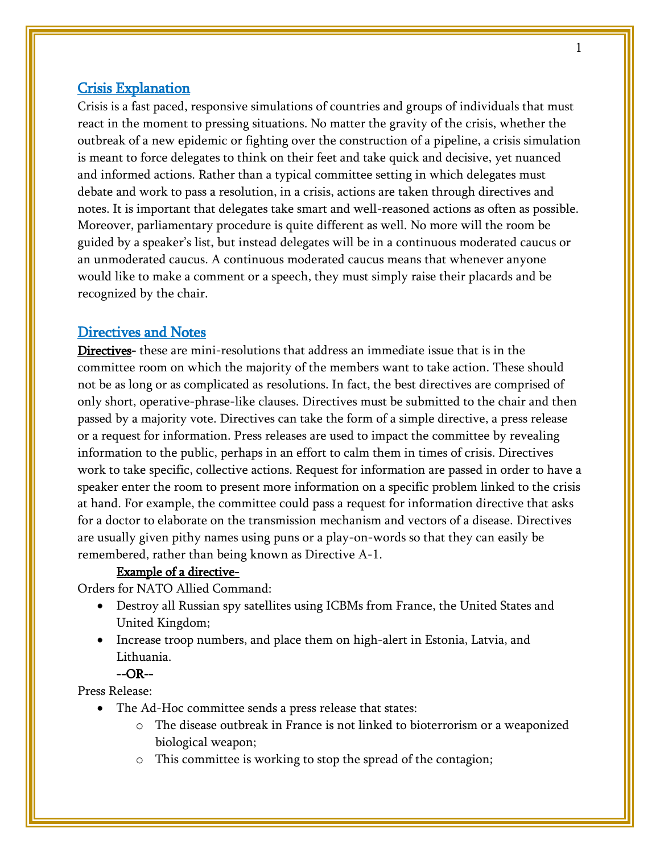# Crisis Explanation

Crisis is a fast paced, responsive simulations of countries and groups of individuals that must react in the moment to pressing situations. No matter the gravity of the crisis, whether the outbreak of a new epidemic or fighting over the construction of a pipeline, a crisis simulation is meant to force delegates to think on their feet and take quick and decisive, yet nuanced and informed actions. Rather than a typical committee setting in which delegates must debate and work to pass a resolution, in a crisis, actions are taken through directives and notes. It is important that delegates take smart and well-reasoned actions as often as possible. Moreover, parliamentary procedure is quite different as well. No more will the room be guided by a speaker's list, but instead delegates will be in a continuous moderated caucus or an unmoderated caucus. A continuous moderated caucus means that whenever anyone would like to make a comment or a speech, they must simply raise their placards and be recognized by the chair.

### Directives and Notes

Directives- these are mini-resolutions that address an immediate issue that is in the committee room on which the majority of the members want to take action. These should not be as long or as complicated as resolutions. In fact, the best directives are comprised of only short, operative-phrase-like clauses. Directives must be submitted to the chair and then passed by a majority vote. Directives can take the form of a simple directive, a press release or a request for information. Press releases are used to impact the committee by revealing information to the public, perhaps in an effort to calm them in times of crisis. Directives work to take specific, collective actions. Request for information are passed in order to have a speaker enter the room to present more information on a specific problem linked to the crisis at hand. For example, the committee could pass a request for information directive that asks for a doctor to elaborate on the transmission mechanism and vectors of a disease. Directives are usually given pithy names using puns or a play-on-words so that they can easily be remembered, rather than being known as Directive A-1.

#### Example of a directive-

Orders for NATO Allied Command:

- Destroy all Russian spy satellites using ICBMs from France, the United States and United Kingdom;
- Increase troop numbers, and place them on high-alert in Estonia, Latvia, and Lithuania.

## --OR--

Press Release:

- The Ad-Hoc committee sends a press release that states:
	- o The disease outbreak in France is not linked to bioterrorism or a weaponized biological weapon;
	- o This committee is working to stop the spread of the contagion;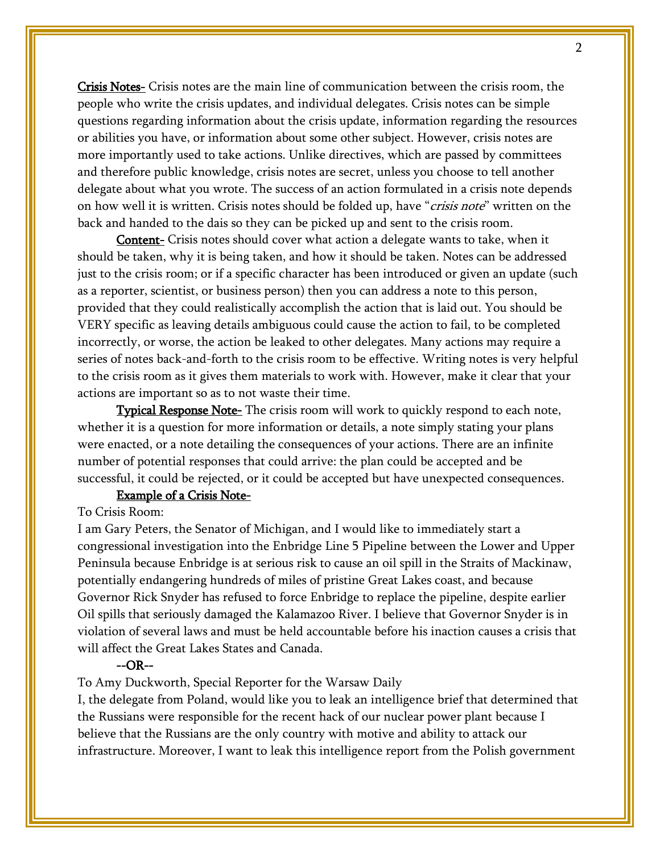Crisis Notes- Crisis notes are the main line of communication between the crisis room, the people who write the crisis updates, and individual delegates. Crisis notes can be simple questions regarding information about the crisis update, information regarding the resources or abilities you have, or information about some other subject. However, crisis notes are more importantly used to take actions. Unlike directives, which are passed by committees and therefore public knowledge, crisis notes are secret, unless you choose to tell another delegate about what you wrote. The success of an action formulated in a crisis note depends on how well it is written. Crisis notes should be folded up, have "*crisis note*" written on the back and handed to the dais so they can be picked up and sent to the crisis room.

**Content-** Crisis notes should cover what action a delegate wants to take, when it should be taken, why it is being taken, and how it should be taken. Notes can be addressed just to the crisis room; or if a specific character has been introduced or given an update (such as a reporter, scientist, or business person) then you can address a note to this person, provided that they could realistically accomplish the action that is laid out. You should be VERY specific as leaving details ambiguous could cause the action to fail, to be completed incorrectly, or worse, the action be leaked to other delegates. Many actions may require a series of notes back-and-forth to the crisis room to be effective. Writing notes is very helpful to the crisis room as it gives them materials to work with. However, make it clear that your actions are important so as to not waste their time.

**Typical Response Note-** The crisis room will work to quickly respond to each note, whether it is a question for more information or details, a note simply stating your plans were enacted, or a note detailing the consequences of your actions. There are an infinite number of potential responses that could arrive: the plan could be accepted and be successful, it could be rejected, or it could be accepted but have unexpected consequences.

#### Example of a Crisis Note-

#### To Crisis Room:

I am Gary Peters, the Senator of Michigan, and I would like to immediately start a congressional investigation into the Enbridge Line 5 Pipeline between the Lower and Upper Peninsula because Enbridge is at serious risk to cause an oil spill in the Straits of Mackinaw, potentially endangering hundreds of miles of pristine Great Lakes coast, and because Governor Rick Snyder has refused to force Enbridge to replace the pipeline, despite earlier Oil spills that seriously damaged the Kalamazoo River. I believe that Governor Snyder is in violation of several laws and must be held accountable before his inaction causes a crisis that will affect the Great Lakes States and Canada.

#### --OR--

To Amy Duckworth, Special Reporter for the Warsaw Daily

I, the delegate from Poland, would like you to leak an intelligence brief that determined that the Russians were responsible for the recent hack of our nuclear power plant because I believe that the Russians are the only country with motive and ability to attack our infrastructure. Moreover, I want to leak this intelligence report from the Polish government